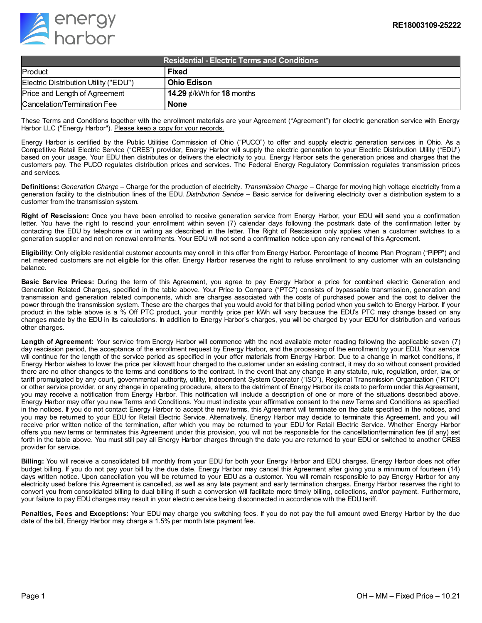

| <b>Residential - Electric Terms and Conditions</b> |                                 |
|----------------------------------------------------|---------------------------------|
| Product                                            | <b>Fixed</b>                    |
| Electric Distribution Utility ("EDU")              | l Ohio Edison                   |
| Price and Length of Agreement                      | 14.29 $\phi$ /kWh for 18 months |
| Cancelation/Termination Fee                        | <b>None</b>                     |

These Terms and Conditions together with the enrollment materials are your Agreement ("Agreement") for electric generation service with Energy Harbor LLC ("Energy Harbor"). Please keep a copy for your records.

Energy Harbor is certified by the Public Utilities Commission of Ohio ("PUCO") to offer and supply electric generation services in Ohio. As a Competitive Retail Electric Service ("CRES") provider, Energy Harbor will supply the electric generation to your Electric Distribution Utility ("EDU") based on your usage. Your EDU then distributes or delivers the electricity to you. Energy Harbor sets the generation prices and charges that the customers pay. The PUCO regulates distribution prices and services. The Federal Energy Regulatory Commission regulates transmission prices and services.

**Definitions:** *Generation Charge* – Charge for the production of electricity. *Transmission Charge* – Charge for moving high voltage electricity from a generation facility to the distribution lines of the EDU. *Distribution Service* – Basic service for delivering electricity over a distribution system to a customer from the transmission system.

**Right of Rescission:** Once you have been enrolled to receive generation service from Energy Harbor, your EDU will send you a confirmation letter. You have the right to rescind your enrollment within seven (7) calendar days following the postmark date of the confirmation letter by contacting the EDU by telephone or in writing as described in the letter. The Right of Rescission only applies when a customer switches to a generation supplier and not on renewal enrollments. Your EDU will not send a confirmation notice upon any renewal of this Agreement.

**Eligibility:** Only eligible residential customer accounts may enroll in this offer from Energy Harbor. Percentage of Income Plan Program ("PIPP") and net metered customers are not eligible for this offer. Energy Harbor reserves the right to refuse enrollment to any customer with an outstanding balance.

**Basic Service Prices:** During the term of this Agreement, you agree to pay Energy Harbor a price for combined electric Generation and Generation Related Charges, specified in the table above. Your Price to Compare ("PTC") consists of bypassable transmission, generation and transmission and generation related components, which are charges associated with the costs of purchased power and the cost to deliver the power through the transmission system. These are the charges that you would avoid for that billing period when you switch to Energy Harbor. If your product in the table above is a % Off PTC product, your monthly price per kWh will vary because the EDU's PTC may change based on any changes made by the EDU in its calculations. In addition to Energy Harbor's charges, you will be charged by your EDU for distribution and various other charges.

**Length of Agreement:** Your service from Energy Harbor will commence with the next available meter reading following the applicable seven (7) day rescission period, the acceptance of the enrollment request by Energy Harbor, and the processing of the enrollment by your EDU. Your service will continue for the length of the service period as specified in your offer materials from Energy Harbor. Due to a change in market conditions, if Energy Harbor wishes to lower the price per kilowatt hour charged to the customer under an existing contract, it may do so without consent provided there are no other changes to the terms and conditions to the contract. In the event that any change in any statute, rule, regulation, order, law, or tariff promulgated by any court, governmental authority, utility, Independent System Operator ("ISO"), Regional Transmission Organization ("RTO") or other service provider, or any change in operating procedure, alters to the detriment of Energy Harbor its costs to perform under this Agreement, you may receive a notification from Energy Harbor. This notification will include a description of one or more of the situations described above. Energy Harbor may offer you new Terms and Conditions. You must indicate your affirmative consent to the new Terms and Conditions as specified in the notices. If you do not contact Energy Harbor to accept the new terms, this Agreement will terminate on the date specified in the notices, and you may be returned to your EDU for Retail Electric Service. Alternatively, Energy Harbor may decide to terminate this Agreement, and you will receive prior written notice of the termination, after which you may be returned to your EDU for Retail Electric Service. Whether Energy Harbor offers you new terms or terminates this Agreement under this provision, you will not be responsible for the cancellation/termination fee (if any) set forth in the table above. You must still pay all Energy Harbor charges through the date you are returned to your EDU or switched to another CRES provider for service.

**Billing:** You will receive a consolidated bill monthly from your EDU for both your Energy Harbor and EDU charges. Energy Harbor does not offer budget billing. If you do not pay your bill by the due date, Energy Harbor may cancel this Agreement after giving you a minimum of fourteen (14) days written notice. Upon cancellation you will be returned to your EDU as a customer. You will remain responsible to pay Energy Harbor for any electricity used before this Agreement is cancelled, as well as any late payment and early termination charges. Energy Harbor reserves the right to convert you from consolidated billing to dual billing if such a conversion will facilitate more timely billing, collections, and/or payment. Furthermore, your failure to pay EDU charges may result in your electric service being disconnected in accordance with the EDU tariff.

**Penalties, Fees and Exceptions:** Your EDU may charge you switching fees. If you do not pay the full amount owed Energy Harbor by the due date of the bill, Energy Harbor may charge a 1.5% per month late payment fee.